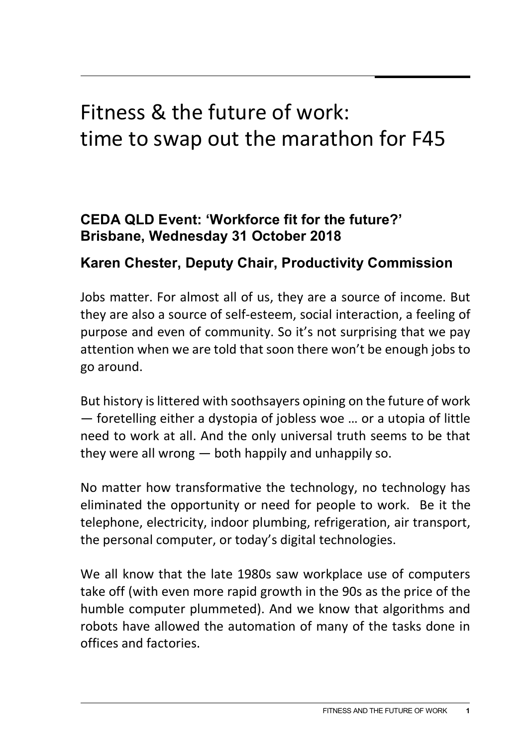## Fitness & the future of work: time to swap out the marathon for F45

## CEDA QLD Event: 'Workforce fit for the future?' Brisbane, Wednesday 31 October 2018

## Karen Chester, Deputy Chair, Productivity Commission

 Jobs matter. For almost all of us, they are a source of income. But they are also a source of self-esteem, social interaction, a feeling of purpose and even of community. So it's not surprising that we pay attention when we are told that soon there won't be enough jobs to go around.

 But history is littered with soothsayers opining on the future of work — foretelling either a dystopia of jobless woe … or a utopia of little need to work at all. And the only universal truth seems to be that they were all wrong — both happily and unhappily so.

 No matter how transformative the technology, no technology has eliminated the opportunity or need for people to work. Be it the telephone, electricity, indoor plumbing, refrigeration, air transport, the personal computer, or today's digital technologies.

 We all know that the late 1980s saw workplace use of computers take off (with even more rapid growth in the 90s as the price of the humble computer plummeted). And we know that algorithms and robots have allowed the automation of many of the tasks done in offices and factories.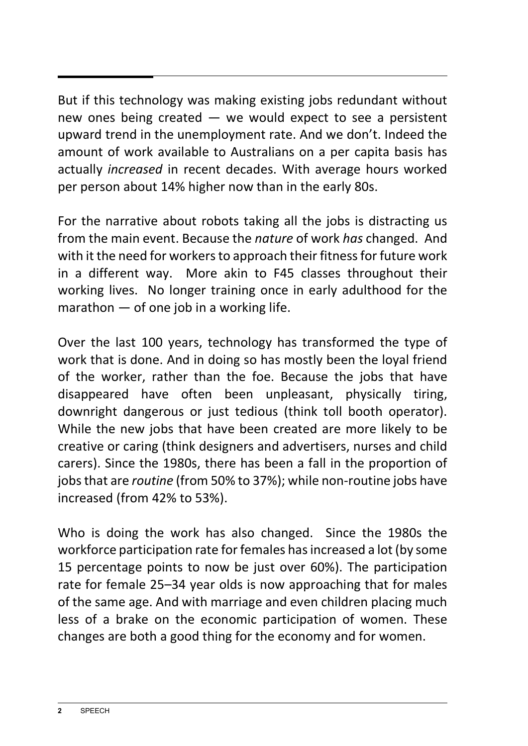But if this technology was making existing jobs redundant without new ones being created — we would expect to see a persistent upward trend in the unemployment rate. And we don't. Indeed the amount of work available to Australians on a per capita basis has actually increased in recent decades. With average hours worked per person about 14% higher now than in the early 80s.

 For the narrative about robots taking all the jobs is distracting us from the main event. Because the nature of work has changed. And with it the need for workers to approach their fitness for future work in a different way. More akin to F45 classes throughout their working lives. No longer training once in early adulthood for the marathon — of one job in a working life.

 Over the last 100 years, technology has transformed the type of work that is done. And in doing so has mostly been the loyal friend of the worker, rather than the foe. Because the jobs that have disappeared have often been unpleasant, physically tiring, downright dangerous or just tedious (think toll booth operator). While the new jobs that have been created are more likely to be creative or caring (think designers and advertisers, nurses and child carers). Since the 1980s, there has been a fall in the proportion of jobs that are routine (from 50% to 37%); while non-routine jobs have increased (from 42% to 53%).

 Who is doing the work has also changed. Since the 1980s the workforce participation rate for females has increased a lot (by some 15 percentage points to now be just over 60%). The participation rate for female 25–34 year olds is now approaching that for males of the same age. And with marriage and even children placing much less of a brake on the economic participation of women. These changes are both a good thing for the economy and for women.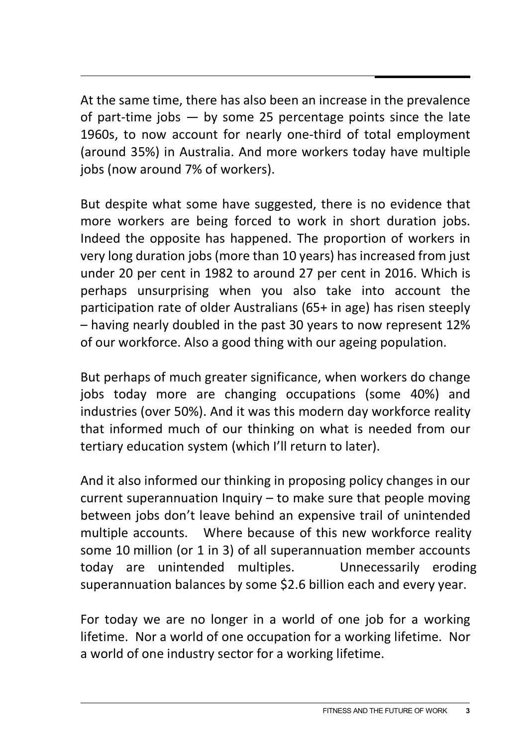At the same time, there has also been an increase in the prevalence of part-time jobs — by some 25 percentage points since the late 1960s, to now account for nearly one-third of total employment (around 35%) in Australia. And more workers today have multiple jobs (now around 7% of workers).

 But despite what some have suggested, there is no evidence that more workers are being forced to work in short duration jobs. Indeed the opposite has happened. The proportion of workers in very long duration jobs (more than 10 years) has increased from just under 20 per cent in 1982 to around 27 per cent in 2016. Which is perhaps unsurprising when you also take into account the participation rate of older Australians (65+ in age) has risen steeply – having nearly doubled in the past 30 years to now represent 12% of our workforce. Also a good thing with our ageing population.

 But perhaps of much greater significance, when workers do change jobs today more are changing occupations (some 40%) and industries (over 50%). And it was this modern day workforce reality that informed much of our thinking on what is needed from our tertiary education system (which I'll return to later).

 And it also informed our thinking in proposing policy changes in our current superannuation Inquiry – to make sure that people moving between jobs don't leave behind an expensive trail of unintended multiple accounts. Where because of this new workforce reality some 10 million (or 1 in 3) of all superannuation member accounts today are unintended multiples. Unnecessarily eroding superannuation balances by some \$2.6 billion each and every year.

 For today we are no longer in a world of one job for a working lifetime. Nor a world of one occupation for a working lifetime. Nor a world of one industry sector for a working lifetime.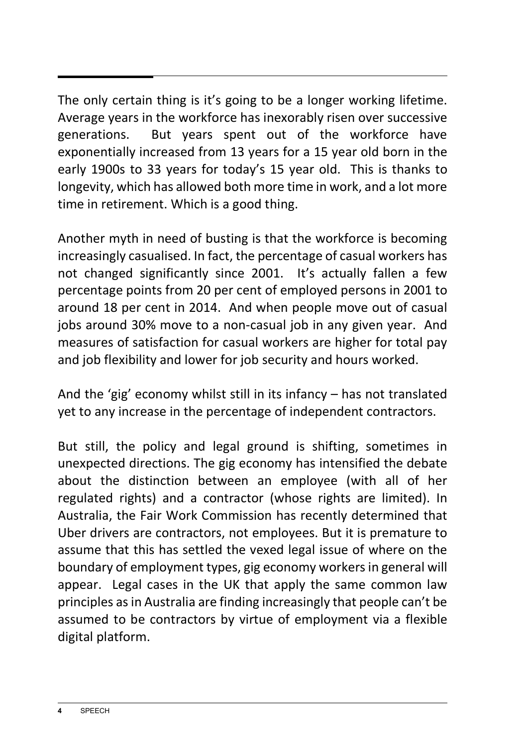The only certain thing is it's going to be a longer working lifetime. generations. exponentially increased from 13 years for a 15 year old born in the early 1900s to 33 years for today's 15 year old. This is thanks to longevity, which has allowed both more time in work, and a lot more Average years in the workforce has inexorably risen over successive But years spent out of the workforce have time in retirement. Which is a good thing.

 Another myth in need of busting is that the workforce is becoming increasingly casualised. In fact, the percentage of casual workers has not changed significantly since 2001. It's actually fallen a few around 18 per cent in 2014. And when people move out of casual jobs around 30% move to a non-casual job in any given year. And measures of satisfaction for casual workers are higher for total pay and job flexibility and lower for job security and hours worked. percentage points from 20 per cent of employed persons in 2001 to

 And the 'gig' economy whilst still in its infancy – has not translated yet to any increase in the percentage of independent contractors.

 But still, the policy and legal ground is shifting, sometimes in unexpected directions. The gig economy has intensified the debate about the distinction between an employee (with all of her regulated rights) and a contractor (whose rights are limited). In Australia, the Fair Work Commission has recently determined that Uber drivers are contractors, not employees. But it is premature to assume that this has settled the vexed legal issue of where on the boundary of employment types, gig economy workers in general will appear. Legal cases in the UK that apply the same common law principles as in Australia are finding increasingly that people can't be assumed to be contractors by virtue of employment via a flexible digital platform.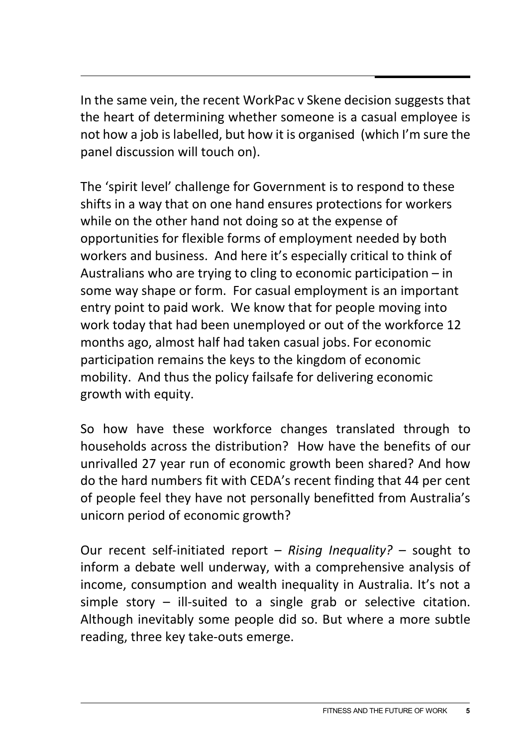In the same vein, the recent WorkPac v Skene decision suggests that the heart of determining whether someone is a casual employee is not how a job is labelled, but how it is organised (which I'm sure the panel discussion will touch on).

The 'spirit level' challenge for Government is to respond to these shifts in a way that on one hand ensures protections for workers while on the other hand not doing so at the expense of opportunities for flexible forms of employment needed by both workers and business. And here it's especially critical to think of Australians who are trying to cling to economic participation – in some way shape or form. For casual employment is an important entry point to paid work. We know that for people moving into work today that had been unemployed or out of the workforce 12 months ago, almost half had taken casual jobs. For economic participation remains the keys to the kingdom of economic mobility. And thus the policy failsafe for delivering economic growth with equity.

 So how have these workforce changes translated through to households across the distribution? How have the benefits of our unrivalled 27 year run of economic growth been shared? And how do the hard numbers fit with CEDA's recent finding that 44 per cent of people feel they have not personally benefitted from Australia's unicorn period of economic growth?

Our recent self-initiated report  $-$  Rising Inequality?  $-$  sought to inform a debate well underway, with a comprehensive analysis of income, consumption and wealth inequality in Australia. It's not a simple story – ill-suited to a single grab or selective citation. Although inevitably some people did so. But where a more subtle reading, three key take-outs emerge.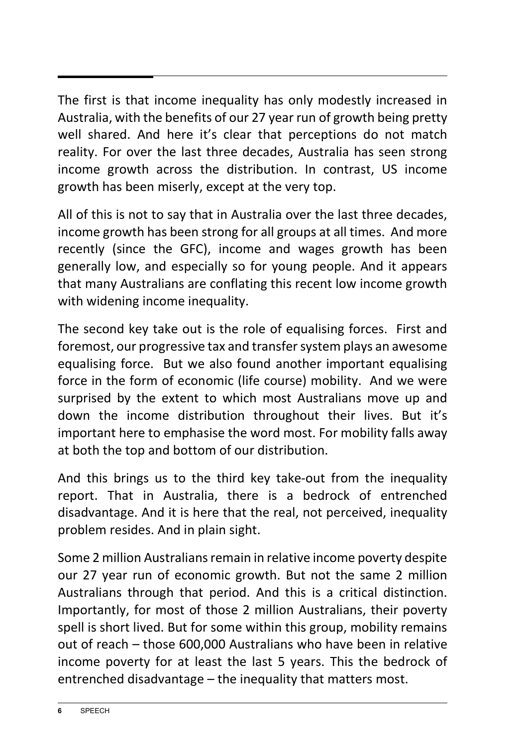The first is that income inequality has only modestly increased in Australia, with the benefits of our 27 year run of growth being pretty well shared. And here it's clear that perceptions do not match reality. For over the last three decades, Australia has seen strong income growth across the distribution. In contrast, US income growth has been miserly, except at the very top.

 All of this is not to say that in Australia over the last three decades, income growth has been strong for all groups at all times. And more recently (since the GFC), income and wages growth has been generally low, and especially so for young people. And it appears that many Australians are conflating this recent low income growth with widening income inequality.

 The second key take out is the role of equalising forces. First and foremost, our progressive tax and transfer system plays an awesome equalising force. But we also found another important equalising force in the form of economic (life course) mobility. And we were surprised by the extent to which most Australians move up and down the income distribution throughout their lives. But it's important here to emphasise the word most. For mobility falls away at both the top and bottom of our distribution.

 And this brings us to the third key take-out from the inequality report. That in Australia, there is a bedrock of entrenched disadvantage. And it is here that the real, not perceived, inequality problem resides. And in plain sight.

 Some 2 million Australians remain in relative income poverty despite our 27 year run of economic growth. But not the same 2 million Australians through that period. And this is a critical distinction. Importantly, for most of those 2 million Australians, their poverty spell is short lived. But for some within this group, mobility remains out of reach – those 600,000 Australians who have been in relative income poverty for at least the last 5 years. This the bedrock of entrenched disadvantage – the inequality that matters most.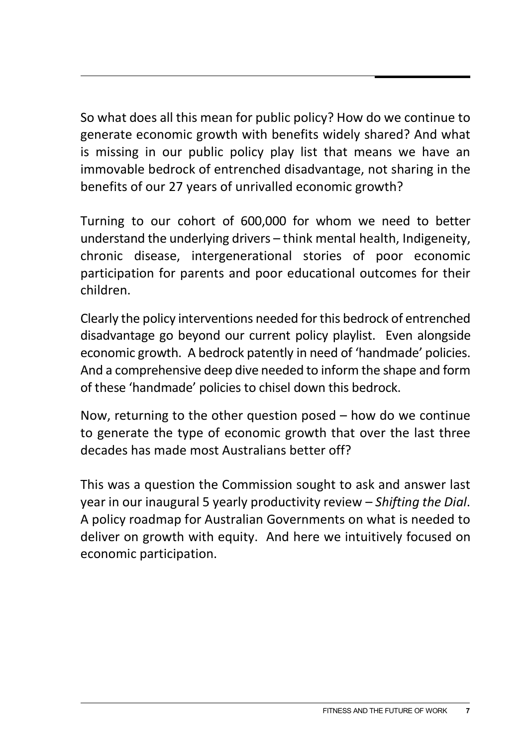So what does all this mean for public policy? How do we continue to generate economic growth with benefits widely shared? And what is missing in our public policy play list that means we have an immovable bedrock of entrenched disadvantage, not sharing in the benefits of our 27 years of unrivalled economic growth?

 Turning to our cohort of 600,000 for whom we need to better understand the underlying drivers – think mental health, Indigeneity, chronic disease, intergenerational stories of poor economic participation for parents and poor educational outcomes for their children.

children.<br>Clearly the policy interventions needed for this bedrock of entrenched disadvantage go beyond our current policy playlist. Even alongside economic growth. A bedrock patently in need of 'handmade' policies. And a comprehensive deep dive needed to inform the shape and form of these 'handmade' policies to chisel down this bedrock.

 Now, returning to the other question posed – how do we continue to generate the type of economic growth that over the last three decades has made most Australians better off?

 This was a question the Commission sought to ask and answer last year in our inaugural 5 yearly productivity review - Shifting the Dial. A policy roadmap for Australian Governments on what is needed to deliver on growth with equity. And here we intuitively focused on economic participation.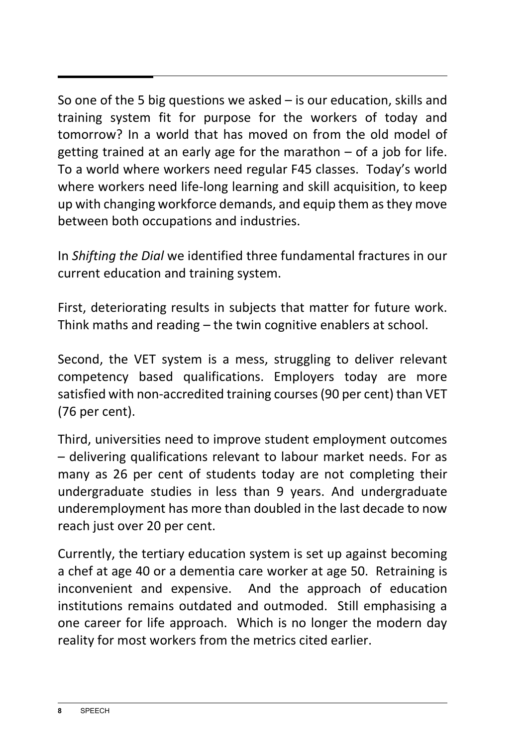So one of the 5 big questions we asked – is our education, skills and training system fit for purpose for the workers of today and tomorrow? In a world that has moved on from the old model of getting trained at an early age for the marathon – of a job for life. To a world where workers need regular F45 classes. Today's world where workers need life-long learning and skill acquisition, to keep up with changing workforce demands, and equip them as they move between both occupations and industries.

In Shifting the Dial we identified three fundamental fractures in our current education and training system.

 First, deteriorating results in subjects that matter for future work. Think maths and reading – the twin cognitive enablers at school.

 Second, the VET system is a mess, struggling to deliver relevant competency based qualifications. Employers today are more satisfied with non-accredited training courses (90 per cent) than VET (76 per cent).

 Third, universities need to improve student employment outcomes – delivering qualifications relevant to labour market needs. For as many as 26 per cent of students today are not completing their undergraduate studies in less than 9 years. And undergraduate underemployment has more than doubled in the last decade to now reach just over 20 per cent.

 Currently, the tertiary education system is set up against becoming a chef at age 40 or a dementia care worker at age 50. Retraining is inconvenient and expensive. And the approach of education institutions remains outdated and outmoded. Still emphasising a one career for life approach. Which is no longer the modern day reality for most workers from the metrics cited earlier.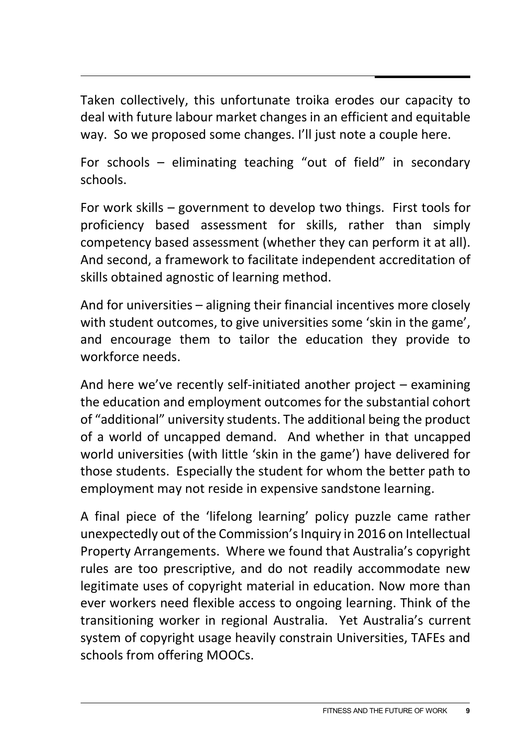deal with future labour market changes in an efficient and equitable way. So we proposed some changes. I'll just note a couple here. Taken collectively, this unfortunate troika erodes our capacity to

For schools – eliminating teaching "out of field" in secondary schools.

 For work skills – government to develop two things. First tools for proficiency based assessment for skills, rather than simply competency based assessment (whether they can perform it at all). And second, a framework to facilitate independent accreditation of skills obtained agnostic of learning method.

 And for universities – aligning their financial incentives more closely with student outcomes, to give universities some 'skin in the game', and encourage them to tailor the education they provide to workforce needs.

workforce needs.<br>And here we've recently self-initiated another project – examining the education and employment outcomes for the substantial cohort of "additional" university students. The additional being the product of a world of uncapped demand. And whether in that uncapped world universities (with little 'skin in the game') have delivered for those students. Especially the student for whom the better path to employment may not reside in expensive sandstone learning.

 A final piece of the 'lifelong learning' policy puzzle came rather unexpectedly out of the Commission's Inquiry in 2016 on Intellectual Property Arrangements. Where we found that Australia's copyright rules are too prescriptive, and do not readily accommodate new legitimate uses of copyright material in education. Now more than ever workers need flexible access to ongoing learning. Think of the transitioning worker in regional Australia. Yet Australia's current system of copyright usage heavily constrain Universities, TAFEs and schools from offering MOOCs.